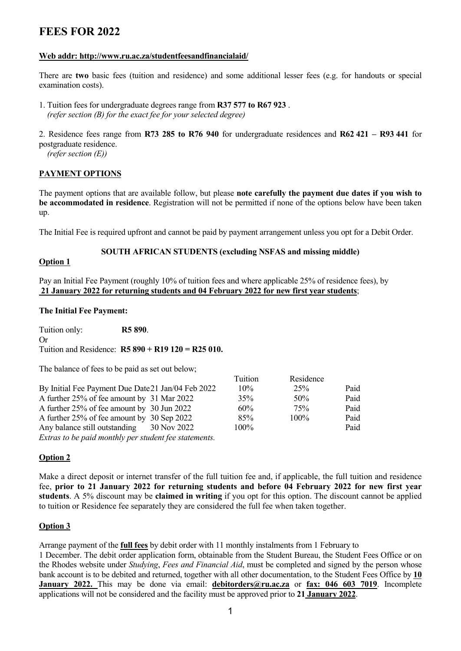## **FEES FOR 2022**

## **Web addr: http://www.ru.ac.za/studentfeesandfinancialaid/**

There are **two** basic fees (tuition and residence) and some additional lesser fees (e.g. for handouts or special examination costs).

1. Tuition fees for undergraduate degrees range from **R37 577 to R67 923** .  *(refer section (B) for the exact fee for your selected degree)* 

2. Residence fees range from **R73 285 to R76 940** for undergraduate residences and **R62 421 – R93 441** for postgraduate residence.

*(refer section (E))*

## **PAYMENT OPTIONS**

The payment options that are available follow, but please **note carefully the payment due dates if you wish to be accommodated in residence**. Registration will not be permitted if none of the options below have been taken up.

The Initial Fee is required upfront and cannot be paid by payment arrangement unless you opt for a Debit Order.

## **SOUTH AFRICAN STUDENTS (excluding NSFAS and missing middle)**

## **Option 1**

Pay an Initial Fee Payment (roughly 10% of tuition fees and where applicable 25% of residence fees), by **21 January 2022 for returning students and 04 February 2022 for new first year students**;

## **The Initial Fee Payment:**

| Tuition only:<br>R5 890.                           |             |         |           |      |
|----------------------------------------------------|-------------|---------|-----------|------|
| Or                                                 |             |         |           |      |
| Tuition and Residence: $R5890 + R19120 = R25010$ . |             |         |           |      |
|                                                    |             |         |           |      |
| The balance of fees to be paid as set out below;   |             |         |           |      |
|                                                    |             | Tuition | Residence |      |
| By Initial Fee Payment Due Date 21 Jan/04 Feb 2022 |             | $10\%$  | 25%       | Paid |
| A further 25% of fee amount by 31 Mar 2022         |             | 35%     | 50%       | Paid |
| A further 25% of fee amount by 30 Jun 2022         |             | $60\%$  | 75%       | Paid |
| A further 25% of fee amount by 30 Sep 2022         |             | 85%     | 100%      | Paid |
| Any balance still outstanding                      | 30 Nov 2022 | 100%    |           | Paid |
|                                                    |             |         |           |      |

*Extras to be paid monthly per student fee statements.*

## **Option 2**

Make a direct deposit or internet transfer of the full tuition fee and, if applicable, the full tuition and residence fee, **prior to 21 January 2022 for returning students and before 04 February 2022 for new first year students**. A 5% discount may be **claimed in writing** if you opt for this option. The discount cannot be applied to tuition or Residence fee separately they are considered the full fee when taken together.

## **Option 3**

Arrange payment of the **full fees** by debit order with 11 monthly instalments from 1 February to 1 December. The debit order application form, obtainable from the Student Bureau, the Student Fees Office or on the Rhodes website under *Studying*, *Fees and Financial Aid*, must be completed and signed by the person whose bank account is to be debited and returned, together with all other documentation, to the Student Fees Office by **10 January 2022.** This may be done via email: **[debitorders@ru.ac.za](mailto:debitorders@ru.ac.za)** or **fax: 046 603 7019**. Incomplete applications will not be considered and the facility must be approved prior to **21 January 2022**.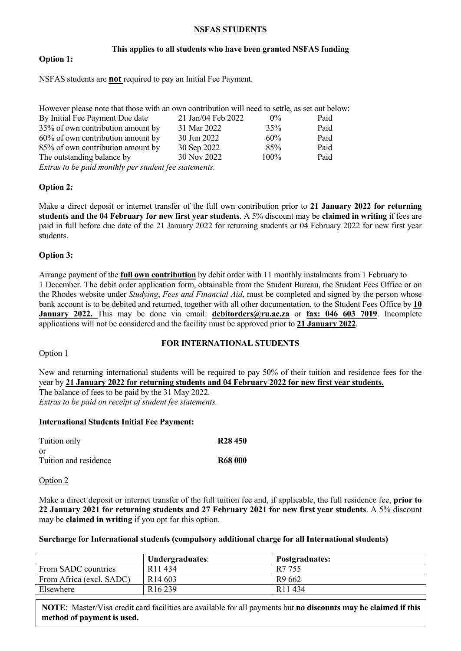## **NSFAS STUDENTS**

#### **This applies to all students who have been granted NSFAS funding**

## **Option 1:**

NSFAS students are **not** required to pay an Initial Fee Payment.

| However please note that those with an own contribution will need to settle, as set out below: |                    |       |      |
|------------------------------------------------------------------------------------------------|--------------------|-------|------|
| By Initial Fee Payment Due date                                                                | 21 Jan/04 Feb 2022 | $0\%$ | Paid |
| 35% of own contribution amount by                                                              | 31 Mar 2022        | 35%   | Paid |
| 60% of own contribution amount by                                                              | 30 Jun 2022        | 60%   | Paid |
| 85% of own contribution amount by                                                              | 30 Sep 2022        | 85%   | Paid |
| The outstanding balance by                                                                     | 30 Nov 2022        | 100%  | Paid |
| Extras to be paid monthly per student fee statements.                                          |                    |       |      |

**Option 2:**

Make a direct deposit or internet transfer of the full own contribution prior to **21 January 2022 for returning students and the 04 February for new first year students**. A 5% discount may be **claimed in writing** if fees are paid in full before due date of the 21 January 2022 for returning students or 04 February 2022 for new first year students.

## **Option 3:**

Arrange payment of the **full own contribution** by debit order with 11 monthly instalments from 1 February to 1 December. The debit order application form, obtainable from the Student Bureau, the Student Fees Office or on the Rhodes website under *Studying*, *Fees and Financial Aid*, must be completed and signed by the person whose bank account is to be debited and returned, together with all other documentation, to the Student Fees Office by **10 January 2022.** This may be done via email: **[debitorders@ru.ac.za](mailto:debitorders@ru.ac.za)** or **fax: 046 603 7019**. Incomplete applications will not be considered and the facility must be approved prior to **21 January 2022**.

#### **FOR INTERNATIONAL STUDENTS**

#### Option 1

New and returning international students will be required to pay 50% of their tuition and residence fees for the year by **21 January 2022 for returning students and 04 February 2022 for new first year students.** The balance of fees to be paid by the 31 May 2022.

*Extras to be paid on receipt of student fee statements.*

## **International Students Initial Fee Payment:**

| Tuition only                | R <sub>28</sub> 450 |
|-----------------------------|---------------------|
| or<br>Tuition and residence | <b>R68 000</b>      |

#### Option 2

Make a direct deposit or internet transfer of the full tuition fee and, if applicable, the full residence fee, **prior to 22 January 2021 for returning students and 27 February 2021 for new first year students**. A 5% discount may be **claimed in writing** if you opt for this option.

#### **Surcharge for International students (compulsory additional charge for all International students)**

|                          | Undergraduates:     | <b>Postgraduates:</b> |
|--------------------------|---------------------|-----------------------|
| From SADC countries      | R <sub>11</sub> 434 | R7 755                |
| From Africa (excl. SADC) | R <sub>14</sub> 603 | R <sub>9</sub> 662    |
| Elsewhere                | R <sub>16</sub> 239 | R <sub>11</sub> 434   |

2 **NOTE**: Master/Visa credit card facilities are available for all payments but **no discounts may be claimed if this method of payment is used.**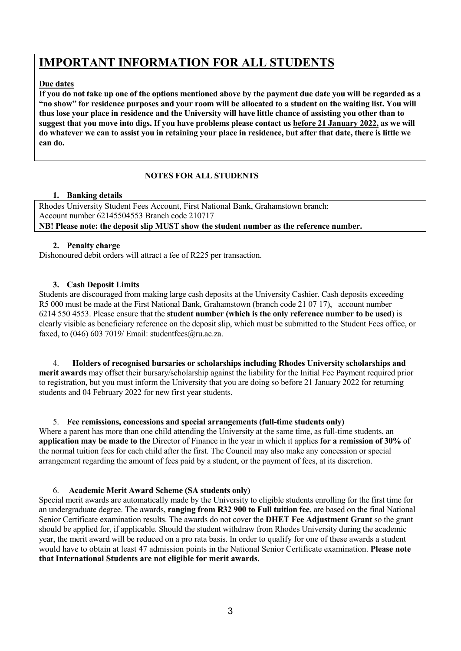# **IMPORTANT INFORMATION FOR ALL STUDENTS**

## **Due dates**

**If you do not take up one of the options mentioned above by the payment due date you will be regarded as a "no show" for residence purposes and your room will be allocated to a student on the waiting list. You will thus lose your place in residence and the University will have little chance of assisting you other than to suggest that you move into digs. If you have problems please contact us before 21 January 2022, as we will do whatever we can to assist you in retaining your place in residence, but after that date, there is little we can do.**

## **NOTES FOR ALL STUDENTS**

## **1. Banking details**

Rhodes University Student Fees Account, First National Bank, Grahamstown branch: Account number 62145504553 Branch code 210717 **NB! Please note: the deposit slip MUST show the student number as the reference number.**

## **2. Penalty charge**

Dishonoured debit orders will attract a fee of R225 per transaction.

## **3. Cash Deposit Limits**

Students are discouraged from making large cash deposits at the University Cashier. Cash deposits exceeding R5 000 must be made at the First National Bank, Grahamstown (branch code 21 07 17), account number 6214 550 4553. Please ensure that the **student number (which is the only reference number to be used**) is clearly visible as beneficiary reference on the deposit slip, which must be submitted to the Student Fees office, or faxed, to (046) 603 7019/ Email: studentfees $@$ ru.ac.za.

4. **Holders of recognised bursaries or scholarships including Rhodes University scholarships and merit awards** may offset their bursary/scholarship against the liability for the Initial Fee Payment required prior to registration, but you must inform the University that you are doing so before 21 January 2022 for returning students and 04 February 2022 for new first year students.

5. **Fee remissions, concessions and special arrangements (full-time students only)** Where a parent has more than one child attending the University at the same time, as full-time students, an **application may be made to the** Director of Finance in the year in which it applies **for a remission of 30%** of the normal tuition fees for each child after the first. The Council may also make any concession or special arrangement regarding the amount of fees paid by a student, or the payment of fees, at its discretion.

6. **Academic Merit Award Scheme (SA students only)**

Special merit awards are automatically made by the University to eligible students enrolling for the first time for an undergraduate degree. The awards, **ranging from R32 900 to Full tuition fee,** are based on the final National Senior Certificate examination results. The awards do not cover the **DHET Fee Adjustment Grant** so the grant should be applied for, if applicable. Should the student withdraw from Rhodes University during the academic year, the merit award will be reduced on a pro rata basis. In order to qualify for one of these awards a student would have to obtain at least 47 admission points in the National Senior Certificate examination. **Please note that International Students are not eligible for merit awards.**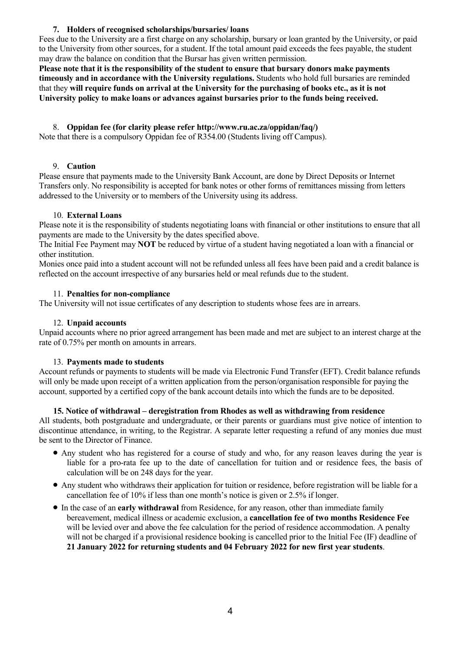## **7. Holders of recognised scholarships/bursaries/ loans**

Fees due to the University are a first charge on any scholarship, bursary or loan granted by the University, or paid to the University from other sources, for a student. If the total amount paid exceeds the fees payable, the student may draw the balance on condition that the Bursar has given written permission.

**Please note that it is the responsibility of the student to ensure that bursary donors make payments timeously and in accordance with the University regulations.** Students who hold full bursaries are reminded that they **will require funds on arrival at the University for the purchasing of books etc., as it is not University policy to make loans or advances against bursaries prior to the funds being received.**

## 8. **Oppidan fee (for clarity please refer http://www.ru.ac.za/oppidan/faq/)**

Note that there is a compulsory Oppidan fee of R354.00 (Students living off Campus).

## 9. **Caution**

Please ensure that payments made to the University Bank Account, are done by Direct Deposits or Internet Transfers only. No responsibility is accepted for bank notes or other forms of remittances missing from letters addressed to the University or to members of the University using its address.

## 10. **External Loans**

Please note it is the responsibility of students negotiating loans with financial or other institutions to ensure that all payments are made to the University by the dates specified above.

The Initial Fee Payment may **NOT** be reduced by virtue of a student having negotiated a loan with a financial or other institution.

Monies once paid into a student account will not be refunded unless all fees have been paid and a credit balance is reflected on the account irrespective of any bursaries held or meal refunds due to the student.

## 11. **Penalties for non-compliance**

The University will not issue certificates of any description to students whose fees are in arrears.

## 12. **Unpaid accounts**

Unpaid accounts where no prior agreed arrangement has been made and met are subject to an interest charge at the rate of 0.75% per month on amounts in arrears.

## 13. **Payments made to students**

Account refunds or payments to students will be made via Electronic Fund Transfer (EFT). Credit balance refunds will only be made upon receipt of a written application from the person/organisation responsible for paying the account, supported by a certified copy of the bank account details into which the funds are to be deposited.

## **15. Notice of withdrawal – deregistration from Rhodes as well as withdrawing from residence**

All students, both postgraduate and undergraduate, or their parents or guardians must give notice of intention to discontinue attendance, in writing, to the Registrar. A separate letter requesting a refund of any monies due must be sent to the Director of Finance.

- Any student who has registered for a course of study and who, for any reason leaves during the year is liable for a pro-rata fee up to the date of cancellation for tuition and or residence fees, the basis of calculation will be on 248 days for the year.
- Any student who withdraws their application for tuition or residence, before registration will be liable for a cancellation fee of 10% if less than one month's notice is given or 2.5% if longer.
- In the case of an **early withdrawal** from Residence, for any reason, other than immediate family bereavement, medical illness or academic exclusion, a **cancellation fee of two months Residence Fee** will be levied over and above the fee calculation for the period of residence accommodation. A penalty will not be charged if a provisional residence booking is cancelled prior to the Initial Fee (IF) deadline of **21 January 2022 for returning students and 04 February 2022 for new first year students**.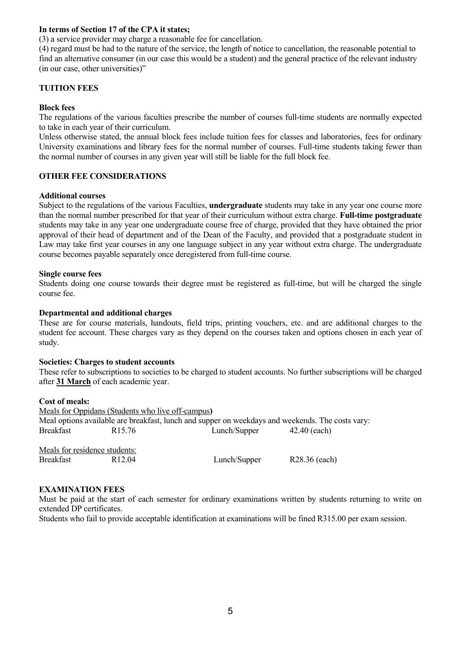## **In terms of Section 17 of the CPA it states;**

(3) a service provider may charge a reasonable fee for cancellation.

(4) regard must be had to the nature of the service, the length of notice to cancellation, the reasonable potential to find an alternative consumer (in our case this would be a student) and the general practice of the relevant industry (in our case, other universities)"

## **TUITION FEES**

#### **Block fees**

The regulations of the various faculties prescribe the number of courses full-time students are normally expected to take in each year of their curriculum.

Unless otherwise stated, the annual block fees include tuition fees for classes and laboratories, fees for ordinary University examinations and library fees for the normal number of courses. Full-time students taking fewer than the normal number of courses in any given year will still be liable for the full block fee.

## **OTHER FEE CONSIDERATIONS**

#### **Additional courses**

Subject to the regulations of the various Faculties, **undergraduate** students may take in any year one course more than the normal number prescribed for that year of their curriculum without extra charge. **Full-time postgraduate** students may take in any year one undergraduate course free of charge, provided that they have obtained the prior approval of their head of department and of the Dean of the Faculty, and provided that a postgraduate student in Law may take first year courses in any one language subject in any year without extra charge. The undergraduate course becomes payable separately once deregistered from full-time course.

#### **Single course fees**

Students doing one course towards their degree must be registered as full-time, but will be charged the single course fee.

## **Departmental and additional charges**

These are for course materials, handouts, field trips, printing vouchers, etc. and are additional charges to the student fee account. These charges vary as they depend on the courses taken and options chosen in each year of study.

## **Societies: Charges to student accounts**

These refer to subscriptions to societies to be charged to student accounts. No further subscriptions will be charged after **31 March** of each academic year.

## **Cost of meals:**

| Meals for Oppidans (Students who live off-campus)                                                |                    |              |                |  |  |  |
|--------------------------------------------------------------------------------------------------|--------------------|--------------|----------------|--|--|--|
| Meal options available are breakfast, lunch and supper on weekdays and weekends. The costs vary: |                    |              |                |  |  |  |
| Breakfast                                                                                        | R <sub>15.76</sub> | Lunch/Supper | $42.40$ (each) |  |  |  |
| Meals for residence students:                                                                    |                    |              |                |  |  |  |
| Breakfast                                                                                        | R <sub>12.04</sub> | Lunch/Supper | R28.36 (each)  |  |  |  |

## **EXAMINATION FEES**

Must be paid at the start of each semester for ordinary examinations written by students returning to write on extended DP certificates.

Students who fail to provide acceptable identification at examinations will be fined R315.00 per exam session.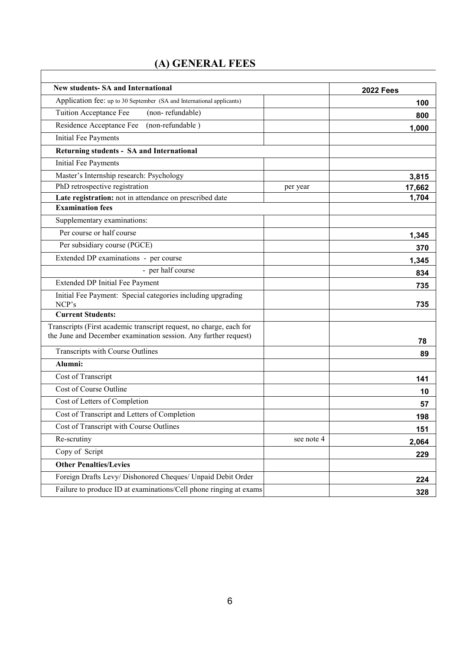# **(A) GENERAL FEES**

 $\overline{\phantom{a}}$ 

| <b>New students- SA and International</b>                                                                                              |            | <b>2022 Fees</b> |
|----------------------------------------------------------------------------------------------------------------------------------------|------------|------------------|
| Application fee: up to 30 September (SA and International applicants)                                                                  |            | 100              |
| Tuition Acceptance Fee<br>(non-refundable)                                                                                             |            |                  |
| Residence Acceptance Fee<br>(non-refundable)                                                                                           |            | 800              |
| <b>Initial Fee Payments</b>                                                                                                            |            | 1,000            |
| Returning students - SA and International                                                                                              |            |                  |
| Initial Fee Payments                                                                                                                   |            |                  |
|                                                                                                                                        |            |                  |
| Master's Internship research: Psychology                                                                                               |            | 3,815            |
| PhD retrospective registration                                                                                                         | per year   | 17,662           |
| Late registration: not in attendance on prescribed date<br><b>Examination fees</b>                                                     |            | 1,704            |
| Supplementary examinations:                                                                                                            |            |                  |
|                                                                                                                                        |            |                  |
| Per course or half course                                                                                                              |            | 1,345            |
| Per subsidiary course (PGCE)                                                                                                           |            | 370              |
| Extended DP examinations - per course                                                                                                  |            | 1,345            |
| - per half course                                                                                                                      |            | 834              |
| Extended DP Initial Fee Payment                                                                                                        |            | 735              |
| Initial Fee Payment: Special categories including upgrading<br>NCP's                                                                   |            | 735              |
| <b>Current Students:</b>                                                                                                               |            |                  |
| Transcripts (First academic transcript request, no charge, each for<br>the June and December examination session. Any further request) |            | 78               |
| Transcripts with Course Outlines                                                                                                       |            | 89               |
| Alumni:                                                                                                                                |            |                  |
| Cost of Transcript                                                                                                                     |            | 141              |
| Cost of Course Outline                                                                                                                 |            | 10               |
| Cost of Letters of Completion                                                                                                          |            | 57               |
| Cost of Transcript and Letters of Completion                                                                                           |            | 198              |
| Cost of Transcript with Course Outlines                                                                                                |            | 151              |
| Re-scrutiny                                                                                                                            | see note 4 | 2,064            |
| Copy of Script                                                                                                                         |            | 229              |
| <b>Other Penalties/Levies</b>                                                                                                          |            |                  |
| Foreign Drafts Levy/ Dishonored Cheques/ Unpaid Debit Order                                                                            |            | 224              |
| Failure to produce ID at examinations/Cell phone ringing at exams                                                                      |            | 328              |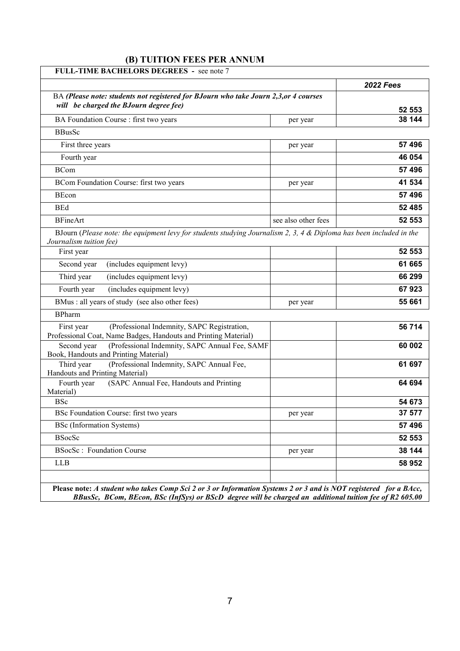## **(B) TUITION FEES PER ANNUM**

|                                                                                                                                                   |                     | <b>2022 Fees</b> |
|---------------------------------------------------------------------------------------------------------------------------------------------------|---------------------|------------------|
| BA (Please note: students not registered for BJourn who take Journ 2,3, or 4 courses                                                              |                     |                  |
| will be charged the BJourn degree fee)                                                                                                            |                     | 52 553           |
| BA Foundation Course : first two years                                                                                                            | per year            | 38 144           |
| <b>BBusSc</b>                                                                                                                                     |                     |                  |
| First three years                                                                                                                                 | per year            | 57 496           |
| Fourth year                                                                                                                                       |                     | 46 054           |
| <b>BCom</b>                                                                                                                                       |                     | 57 496           |
| BCom Foundation Course: first two years                                                                                                           | per year            | 41 534           |
| BEcon                                                                                                                                             |                     | 57 496           |
| <b>BEd</b>                                                                                                                                        |                     | 52 485           |
| <b>BFineArt</b>                                                                                                                                   | see also other fees | 52 553           |
| BJourn (Please note: the equipment levy for students studying Journalism 2, 3, 4 $\&$ Diploma has been included in the<br>Journalism tuition fee) |                     |                  |
| First year                                                                                                                                        |                     | 52 553           |
| (includes equipment levy)<br>Second year                                                                                                          |                     | 61 665           |
| (includes equipment levy)<br>Third year                                                                                                           |                     | 66 299           |
| Fourth year<br>(includes equipment levy)                                                                                                          |                     | 67923            |
| BMus : all years of study (see also other fees)                                                                                                   | per year            | 55 661           |
| <b>BPharm</b>                                                                                                                                     |                     |                  |
| (Professional Indemnity, SAPC Registration,<br>First year<br>Professional Coat, Name Badges, Handouts and Printing Material)                      |                     | 56 714           |
| (Professional Indemnity, SAPC Annual Fee, SAMF<br>Second year<br>Book, Handouts and Printing Material)                                            |                     | 60 002           |
| Third year<br>(Professional Indemnity, SAPC Annual Fee,<br>Handouts and Printing Material)                                                        |                     | 61 697           |
| Fourth year<br>(SAPC Annual Fee, Handouts and Printing<br>Material)                                                                               |                     | 64 694           |
| <b>BSc</b>                                                                                                                                        |                     | 54 673           |
|                                                                                                                                                   | per year            | 37 577           |
| BSc Foundation Course: first two years                                                                                                            |                     | 57 496           |
| <b>BSc</b> (Information Systems)                                                                                                                  |                     |                  |
| <b>BSocSc</b>                                                                                                                                     |                     |                  |
| <b>BSocSc: Foundation Course</b>                                                                                                                  | per year            | 52 553<br>38 144 |

**Please note:** *A student who takes Comp Sci 2 or 3 or Information Systems 2 or 3 and is NOT registered for a BAcc, BBusSc, BCom, BEcon, BSc (InfSys) or BScD degree will be charged an additional tuition fee of R2 605.00*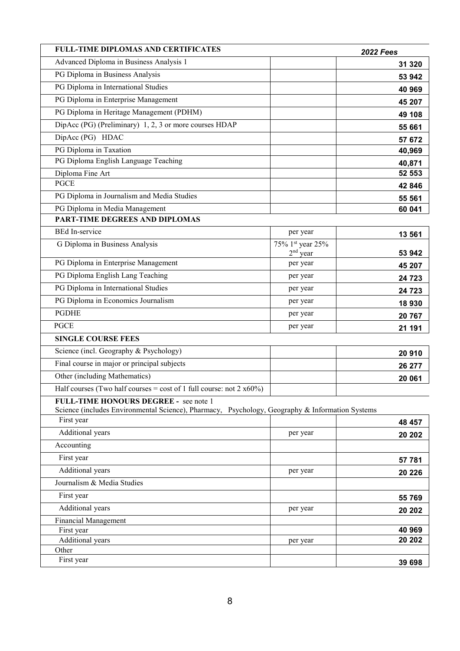| <b>FULL-TIME DIPLOMAS AND CERTIFICATES</b>                                                      |                  | <b>2022 Fees</b> |
|-------------------------------------------------------------------------------------------------|------------------|------------------|
| Advanced Diploma in Business Analysis 1                                                         |                  | 31 320           |
| PG Diploma in Business Analysis                                                                 |                  | 53 942           |
| PG Diploma in International Studies                                                             |                  | 40 969           |
| PG Diploma in Enterprise Management                                                             |                  | 45 207           |
| PG Diploma in Heritage Management (PDHM)                                                        |                  | 49 108           |
| DipAcc (PG) (Preliminary) 1, 2, 3 or more courses HDAP                                          |                  | 55 661           |
| DipAcc (PG) HDAC                                                                                |                  | 57 672           |
| PG Diploma in Taxation                                                                          |                  | 40,969           |
| PG Diploma English Language Teaching                                                            |                  | 40,871           |
| Diploma Fine Art                                                                                |                  | 52 553           |
| <b>PGCE</b>                                                                                     |                  | 42 846           |
| PG Diploma in Journalism and Media Studies                                                      |                  | 55 561           |
| PG Diploma in Media Management                                                                  |                  | 60 041           |
| PART-TIME DEGREES AND DIPLOMAS                                                                  |                  |                  |
| <b>BEd In-service</b>                                                                           | per year         | 13 561           |
| G Diploma in Business Analysis                                                                  | 75% 1st year 25% |                  |
|                                                                                                 | $2nd$ year       | 53 942           |
| PG Diploma in Enterprise Management                                                             | per year         | 45 207           |
| PG Diploma English Lang Teaching                                                                | per year         | 24 7 23          |
| PG Diploma in International Studies                                                             | per year         | 24 7 23          |
| PG Diploma in Economics Journalism                                                              | per year         | 18 930           |
| <b>PGDHE</b>                                                                                    | per year         | 20 767           |
| <b>PGCE</b>                                                                                     | per year         | 21 191           |
| <b>SINGLE COURSE FEES</b>                                                                       |                  |                  |
| Science (incl. Geography & Psychology)                                                          |                  | 20 910           |
| Final course in major or principal subjects                                                     |                  | 26 277           |
| Other (including Mathematics)                                                                   |                  | 20 061           |
| Half courses (Two half courses = cost of 1 full course: not 2 $x60\%$ )                         |                  |                  |
| FULL-TIME HONOURS DEGREE - see note 1                                                           |                  |                  |
| Science (includes Environmental Science), Pharmacy, Psychology, Geography & Information Systems |                  |                  |
| First year                                                                                      |                  | 48 457           |
| Additional years                                                                                | per year         | 20 20 2          |
| Accounting                                                                                      |                  |                  |
| First year                                                                                      |                  | 57 781           |
| Additional years                                                                                | per year         | 20 226           |
| Journalism & Media Studies                                                                      |                  |                  |
| First year                                                                                      |                  | 55 769           |
| Additional years                                                                                | per year         | 20 20 2          |
| <b>Financial Management</b>                                                                     |                  |                  |
| First year                                                                                      |                  | 40 969           |
| Additional years<br>Other                                                                       | per year         | 20 20 2          |
| First year                                                                                      |                  | 39 698           |
|                                                                                                 |                  |                  |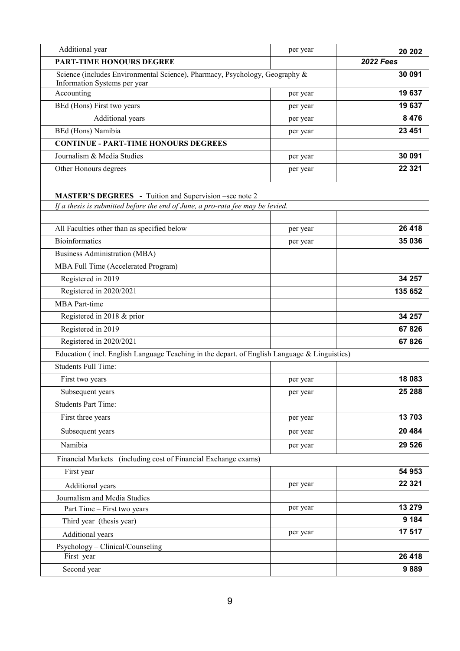| Additional year                                                                                             | per year | 20 20 2          |
|-------------------------------------------------------------------------------------------------------------|----------|------------------|
| <b>PART-TIME HONOURS DEGREE</b>                                                                             |          | <b>2022 Fees</b> |
| Science (includes Environmental Science), Pharmacy, Psychology, Geography &<br>Information Systems per year |          | 30 091           |
| Accounting                                                                                                  | per year | 19637            |
| BEd (Hons) First two years                                                                                  | per year | 19 637           |
| Additional years                                                                                            | per year | 8 4 7 6          |
| BEd (Hons) Namibia                                                                                          | per year | 23 4 51          |
| <b>CONTINUE - PART-TIME HONOURS DEGREES</b>                                                                 |          |                  |
| Journalism & Media Studies                                                                                  | per year | 30 091           |
| Other Honours degrees                                                                                       | per year | 22 3 21          |
| <b>MASTER'S DEGREES</b> - Tuition and Supervision –see note 2                                               |          |                  |
| If a thesis is submitted before the end of June, a pro-rata fee may be levied.                              |          |                  |
|                                                                                                             |          |                  |
| All Faculties other than as specified below                                                                 | per year | 26 4 18          |
| <b>Bioinformatics</b>                                                                                       | per year | 35 036           |
| <b>Business Administration (MBA)</b>                                                                        |          |                  |
| MBA Full Time (Accelerated Program)                                                                         |          |                  |
| Registered in 2019                                                                                          |          | 34 257           |
| Registered in 2020/2021                                                                                     |          | 135 652          |
| <b>MBA</b> Part-time                                                                                        |          |                  |
| Registered in 2018 & prior                                                                                  |          | 34 257           |
| Registered in 2019                                                                                          |          | 67826            |
| Registered in 2020/2021                                                                                     |          | 67826            |
| Education (incl. English Language Teaching in the depart. of English Language & Linguistics)                |          |                  |
| <b>Students Full Time:</b>                                                                                  |          |                  |
| First two years                                                                                             | per year | 18 083           |
| Subsequent years                                                                                            | per year | 25 288           |
| <b>Students Part Time:</b>                                                                                  |          |                  |
| First three years                                                                                           | per year | 13703            |
| Subsequent years                                                                                            | per year | 20 4 84          |
| Namibia                                                                                                     | per year | 29 5 26          |
| Financial Markets (including cost of Financial Exchange exams)                                              |          |                  |
| First year                                                                                                  |          | 54 953           |
| Additional years                                                                                            | per year | 22 3 21          |
| Journalism and Media Studies                                                                                |          |                  |
| Part Time - First two years                                                                                 | per year | 13 279           |
| Third year (thesis year)                                                                                    |          | 9 1 8 4          |
| Additional years                                                                                            | per year | 17 517           |
| Psychology - Clinical/Counseling                                                                            |          |                  |
| First year                                                                                                  |          | 26 4 18          |
| Second year                                                                                                 |          | 9889             |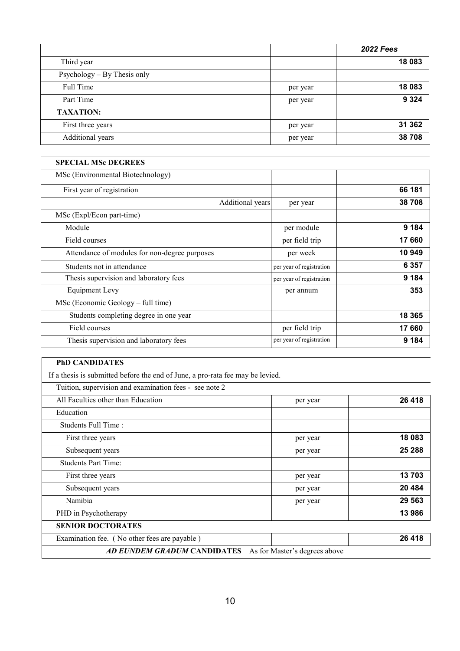|                                               |                          | <b>2022 Fees</b> |
|-----------------------------------------------|--------------------------|------------------|
| Third year                                    |                          | 18 083           |
| Psychology – By Thesis only                   |                          |                  |
| Full Time                                     | per year                 | 18 083           |
| Part Time                                     | per year                 | 9 3 2 4          |
| <b>TAXATION:</b>                              |                          |                  |
| First three years                             | per year                 | 31 362           |
| Additional years                              | per year                 | 38708            |
| <b>SPECIAL MSc DEGREES</b>                    |                          |                  |
| MSc (Environmental Biotechnology)             |                          |                  |
| First year of registration                    |                          | 66 181           |
| Additional years                              | per year                 | 38708            |
| MSc (Expl/Econ part-time)                     |                          |                  |
| Module                                        | per module               | 9 1 8 4          |
| Field courses                                 | per field trip           | 17 660           |
| Attendance of modules for non-degree purposes | per week                 | 10 949           |
| Students not in attendance                    | per year of registration | 6 3 5 7          |
| Thesis supervision and laboratory fees        | per year of registration | 9 1 8 4          |
| <b>Equipment Levy</b>                         | per annum                | 353              |
| MSc (Economic Geology - full time)            |                          |                  |
| Students completing degree in one year        |                          | 18 3 65          |
| Field courses                                 | per field trip           | 17 660           |
| Thesis supervision and laboratory fees        | per year of registration | 9 1 8 4          |

| <b>PhD CANDIDATES</b>                                                          |                               |         |
|--------------------------------------------------------------------------------|-------------------------------|---------|
| If a thesis is submitted before the end of June, a pro-rata fee may be levied. |                               |         |
| Tuition, supervision and examination fees - see note 2                         |                               |         |
| All Faculties other than Education                                             | per year                      | 26 418  |
| Education                                                                      |                               |         |
| Students Full Time:                                                            |                               |         |
| First three years                                                              | per year                      | 18 083  |
| Subsequent years                                                               | per year                      | 25 288  |
| <b>Students Part Time:</b>                                                     |                               |         |
| First three years                                                              | per year                      | 13703   |
| Subsequent years                                                               | per year                      | 20 4 84 |
| Namibia                                                                        | per year                      | 29 5 63 |
| PHD in Psychotherapy                                                           |                               | 13 986  |
| <b>SENIOR DOCTORATES</b>                                                       |                               |         |
| Examination fee. (No other fees are payable)                                   |                               | 26 418  |
| AD EUNDEM GRADUM CANDIDATES                                                    | As for Master's degrees above |         |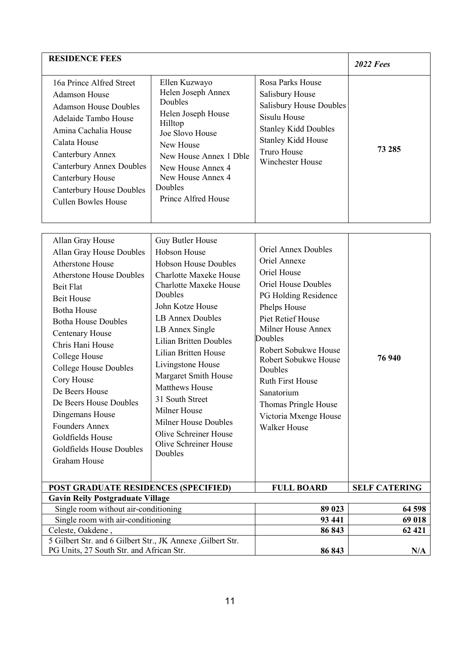| <b>RESIDENCE FEES</b>                                                                                                                                                                                                                                                          |                                                                                                                                                                                                                              |                                                                                                                                                                                      | <b>2022 Fees</b> |
|--------------------------------------------------------------------------------------------------------------------------------------------------------------------------------------------------------------------------------------------------------------------------------|------------------------------------------------------------------------------------------------------------------------------------------------------------------------------------------------------------------------------|--------------------------------------------------------------------------------------------------------------------------------------------------------------------------------------|------------------|
| 16a Prince Alfred Street<br>Adamson House<br><b>Adamson House Doubles</b><br>Adelaide Tambo House<br>Amina Cachalia House<br>Calata House<br>Canterbury Annex<br><b>Canterbury Annex Doubles</b><br>Canterbury House<br><b>Canterbury House Doubles</b><br>Cullen Bowles House | Ellen Kuzwayo<br>Helen Joseph Annex<br><b>Doubles</b><br>Helen Joseph House<br>Hilltop<br>Joe Slovo House<br>New House<br>New House Annex 1 Dble<br>New House Annex 4<br>New House Annex 4<br>Doubles<br>Prince Alfred House | Rosa Parks House<br>Salisbury House<br><b>Salisbury House Doubles</b><br>Sisulu House<br><b>Stanley Kidd Doubles</b><br><b>Stanley Kidd House</b><br>Truro House<br>Winchester House | 73 285           |

| Allan Gray House<br>Allan Gray House Doubles<br>Atherstone House<br><b>Atherstone House Doubles</b><br><b>Beit Flat</b><br><b>Beit House</b><br><b>Botha House</b><br><b>Botha House Doubles</b><br>Centenary House<br>Chris Hani House<br>College House<br><b>College House Doubles</b><br>Cory House<br>De Beers House<br>De Beers House Doubles<br>Dingemans House<br><b>Founders Annex</b><br>Goldfields House<br><b>Goldfields House Doubles</b><br><b>Graham House</b> | Guy Butler House<br>Hobson House<br><b>Hobson House Doubles</b><br><b>Charlotte Maxeke House</b><br><b>Charlotte Maxeke House</b><br>Doubles<br>John Kotze House<br><b>LB Annex Doubles</b><br>LB Annex Single<br><b>Lilian Britten Doubles</b><br>Lilian Britten House<br>Livingstone House<br>Margaret Smith House<br><b>Matthews House</b><br>31 South Street<br>Milner House<br><b>Milner House Doubles</b><br>Olive Schreiner House<br>Olive Schreiner House<br>Doubles | <b>Oriel Annex Doubles</b><br>Oriel Annexe<br>Oriel House<br><b>Oriel House Doubles</b><br>PG Holding Residence<br>Phelps House<br><b>Piet Retief House</b><br><b>Milner House Annex</b><br>Doubles<br>Robert Sobukwe House<br>Robert Sobukwe House<br>Doubles<br><b>Ruth First House</b><br>Sanatorium<br>Thomas Pringle House<br>Victoria Mxenge House<br><b>Walker House</b> | 76 940               |
|------------------------------------------------------------------------------------------------------------------------------------------------------------------------------------------------------------------------------------------------------------------------------------------------------------------------------------------------------------------------------------------------------------------------------------------------------------------------------|------------------------------------------------------------------------------------------------------------------------------------------------------------------------------------------------------------------------------------------------------------------------------------------------------------------------------------------------------------------------------------------------------------------------------------------------------------------------------|---------------------------------------------------------------------------------------------------------------------------------------------------------------------------------------------------------------------------------------------------------------------------------------------------------------------------------------------------------------------------------|----------------------|
| <b>POST GRADUATE RESIDENCES (SPECIFIED)</b>                                                                                                                                                                                                                                                                                                                                                                                                                                  |                                                                                                                                                                                                                                                                                                                                                                                                                                                                              | <b>FULL BOARD</b>                                                                                                                                                                                                                                                                                                                                                               | <b>SELF CATERING</b> |
| <b>Gavin Reily Postgraduate Village</b>                                                                                                                                                                                                                                                                                                                                                                                                                                      |                                                                                                                                                                                                                                                                                                                                                                                                                                                                              |                                                                                                                                                                                                                                                                                                                                                                                 |                      |
| Single room without air-conditioning                                                                                                                                                                                                                                                                                                                                                                                                                                         |                                                                                                                                                                                                                                                                                                                                                                                                                                                                              | 89 023                                                                                                                                                                                                                                                                                                                                                                          | 64 598               |
| Single room with air-conditioning                                                                                                                                                                                                                                                                                                                                                                                                                                            |                                                                                                                                                                                                                                                                                                                                                                                                                                                                              | 93 441                                                                                                                                                                                                                                                                                                                                                                          | 69 018               |
| Celeste, Oakdene,                                                                                                                                                                                                                                                                                                                                                                                                                                                            |                                                                                                                                                                                                                                                                                                                                                                                                                                                                              | 86 843                                                                                                                                                                                                                                                                                                                                                                          | 62 421               |
| 5 Gilbert Str. and 6 Gilbert Str., JK Annexe, Gilbert Str.<br>PG Units, 27 South Str. and African Str.                                                                                                                                                                                                                                                                                                                                                                       |                                                                                                                                                                                                                                                                                                                                                                                                                                                                              | 86 843                                                                                                                                                                                                                                                                                                                                                                          | N/A                  |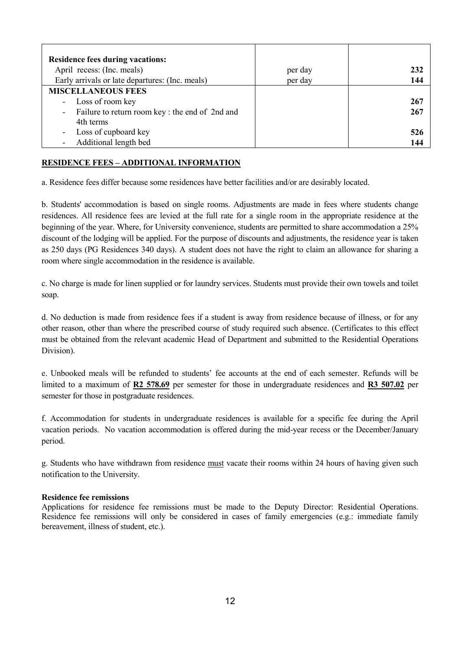| <b>Residence fees during vacations:</b>         |         |     |
|-------------------------------------------------|---------|-----|
| April recess: (Inc. meals)                      | per day | 232 |
| Early arrivals or late departures: (Inc. meals) | per day | 144 |
| <b>MISCELLANEOUS FEES</b>                       |         |     |
| Loss of room key                                |         | 267 |
| Failure to return room key: the end of 2nd and  |         | 267 |
| 4th terms                                       |         |     |
| Loss of cupboard key                            |         | 526 |
| Additional length bed                           |         | 144 |

## **RESIDENCE FEES – ADDITIONAL INFORMATION**

a. Residence fees differ because some residences have better facilities and/or are desirably located.

b. Students' accommodation is based on single rooms. Adjustments are made in fees where students change residences. All residence fees are levied at the full rate for a single room in the appropriate residence at the beginning of the year. Where, for University convenience, students are permitted to share accommodation a 25% discount of the lodging will be applied. For the purpose of discounts and adjustments, the residence year is taken as 250 days (PG Residences 340 days). A student does not have the right to claim an allowance for sharing a room where single accommodation in the residence is available.

c. No charge is made for linen supplied or for laundry services. Students must provide their own towels and toilet soap.

d. No deduction is made from residence fees if a student is away from residence because of illness, or for any other reason, other than where the prescribed course of study required such absence. (Certificates to this effect must be obtained from the relevant academic Head of Department and submitted to the Residential Operations Division).

e. Unbooked meals will be refunded to students' fee accounts at the end of each semester. Refunds will be limited to a maximum of **R2 578.69** per semester for those in undergraduate residences and **R3 507.02** per semester for those in postgraduate residences.

f. Accommodation for students in undergraduate residences is available for a specific fee during the April vacation periods. No vacation accommodation is offered during the mid-year recess or the December/January period.

g. Students who have withdrawn from residence must vacate their rooms within 24 hours of having given such notification to the University.

## **Residence fee remissions**

Applications for residence fee remissions must be made to the Deputy Director: Residential Operations. Residence fee remissions will only be considered in cases of family emergencies (e.g.: immediate family bereavement, illness of student, etc.).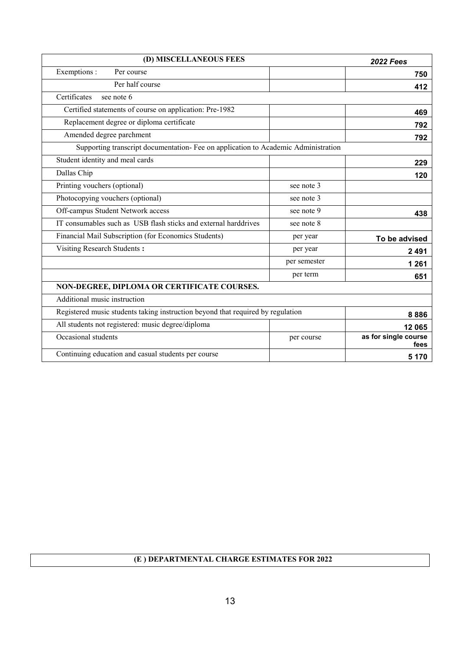| (D) MISCELLANEOUS FEES                                                             |              | <b>2022 Fees</b>             |
|------------------------------------------------------------------------------------|--------------|------------------------------|
| Exemptions :<br>Per course                                                         |              | 750                          |
| Per half course                                                                    |              | 412                          |
| Certificates<br>see note 6                                                         |              |                              |
| Certified statements of course on application: Pre-1982                            |              | 469                          |
| Replacement degree or diploma certificate                                          |              | 792                          |
| Amended degree parchment                                                           |              | 792                          |
| Supporting transcript documentation- Fee on application to Academic Administration |              |                              |
| Student identity and meal cards                                                    |              | 229                          |
| Dallas Chip                                                                        |              | 120                          |
| Printing vouchers (optional)                                                       | see note 3   |                              |
| Photocopying vouchers (optional)                                                   | see note 3   |                              |
| Off-campus Student Network access                                                  | see note 9   | 438                          |
| IT consumables such as USB flash sticks and external harddrives                    | see note 8   |                              |
| Financial Mail Subscription (for Economics Students)                               | per year     | To be advised                |
| Visiting Research Students:                                                        | per year     | 2 4 9 1                      |
|                                                                                    | per semester | 1 2 6 1                      |
|                                                                                    | per term     | 651                          |
| NON-DEGREE, DIPLOMA OR CERTIFICATE COURSES.                                        |              |                              |
| Additional music instruction                                                       |              |                              |
| Registered music students taking instruction beyond that required by regulation    |              | 8886                         |
| All students not registered: music degree/diploma                                  |              | 12 065                       |
| Occasional students                                                                | per course   | as for single course<br>fees |
| Continuing education and casual students per course                                |              | 5 1 7 0                      |

## **(E ) DEPARTMENTAL CHARGE ESTIMATES FOR 2022**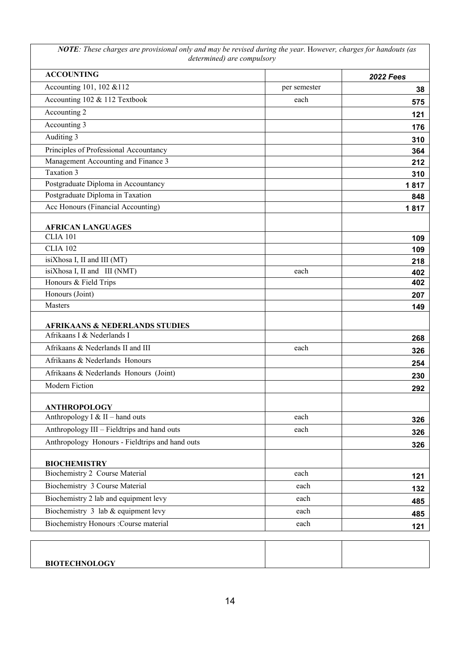*NOTE: These charges are provisional only and may be revised during the year.* H*owever, charges for handouts (as determined) are compulsory*

| <b>ACCOUNTING</b>                               |              | <b>2022 Fees</b> |
|-------------------------------------------------|--------------|------------------|
| Accounting 101, 102 & 112                       | per semester |                  |
| Accounting 102 & 112 Textbook                   | each         | 575              |
| Accounting 2                                    |              | 121              |
| Accounting 3                                    |              | 176              |
| Auditing 3                                      |              | 310              |
| Principles of Professional Accountancy          |              | 364              |
| Management Accounting and Finance 3             |              | 212              |
| Taxation 3                                      |              | 310              |
| Postgraduate Diploma in Accountancy             |              | 1817             |
| Postgraduate Diploma in Taxation                |              | 848              |
| Acc Honours (Financial Accounting)              |              | 1817             |
| <b>AFRICAN LANGUAGES</b>                        |              |                  |
| <b>CLIA 101</b>                                 |              | 109              |
| <b>CLIA 102</b>                                 |              | 109              |
| isiXhosa I, II and III (MT)                     |              | 218              |
| isiXhosa I, II and III (NMT)                    | each         | 402              |
| Honours & Field Trips                           |              | 402              |
| Honours (Joint)                                 |              | 207              |
| Masters                                         |              | 149              |
| <b>AFRIKAANS &amp; NEDERLANDS STUDIES</b>       |              |                  |
| Afrikaans I & Nederlands I                      |              | 268              |
| Afrikaans & Nederlands II and III               | each         | 326              |
| Afrikaans & Nederlands Honours                  |              | 254              |
| Afrikaans & Nederlands Honours (Joint)          |              | 230              |
| <b>Modern Fiction</b>                           |              | 292              |
| <b>ANTHROPOLOGY</b>                             |              |                  |
| Anthropology I & II - hand outs                 | each         | 326              |
| Anthropology III - Fieldtrips and hand outs     | each         | 326              |
| Anthropology Honours - Fieldtrips and hand outs |              | 326              |
| <b>BIOCHEMISTRY</b>                             |              |                  |
| Biochemistry 2 Course Material                  | each         | 121              |
| Biochemistry 3 Course Material                  | each         | 132              |
| Biochemistry 2 lab and equipment levy           | each         | 485              |
| Biochemistry 3 lab & equipment levy             | each         | 485              |
| Biochemistry Honours : Course material          | each         | 121              |

| <b>BIOTECHNOLOGY</b> |  |
|----------------------|--|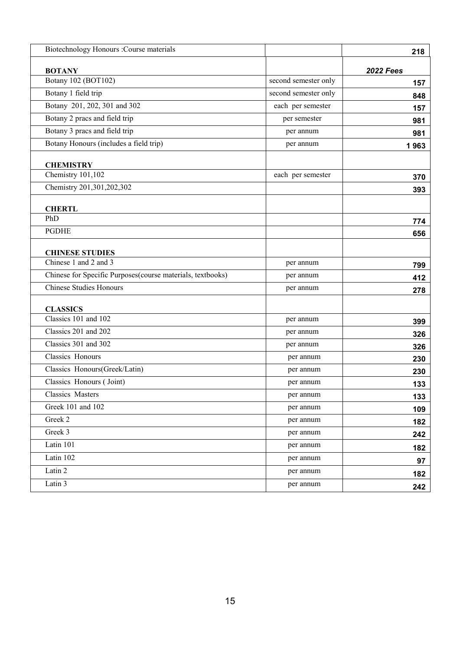| Biotechnology Honours : Course materials                   |                      | 218              |
|------------------------------------------------------------|----------------------|------------------|
| <b>BOTANY</b>                                              |                      | <b>2022 Fees</b> |
| Botany 102 (BOT102)                                        | second semester only | 157              |
| Botany 1 field trip                                        | second semester only | 848              |
| Botany 201, 202, 301 and 302                               | each per semester    | 157              |
| Botany 2 pracs and field trip                              | per semester         | 981              |
| Botany 3 pracs and field trip                              | per annum            | 981              |
| Botany Honours (includes a field trip)                     | per annum            | 1963             |
|                                                            |                      |                  |
| <b>CHEMISTRY</b><br>Chemistry 101,102                      | each per semester    | 370              |
| Chemistry 201,301,202,302                                  |                      | 393              |
|                                                            |                      |                  |
| <b>CHERTL</b>                                              |                      |                  |
| PhD                                                        |                      | 774              |
| <b>PGDHE</b>                                               |                      | 656              |
|                                                            |                      |                  |
| <b>CHINESE STUDIES</b><br>Chinese 1 and 2 and 3            | per annum            |                  |
| Chinese for Specific Purposes(course materials, textbooks) | per annum            | 799              |
| <b>Chinese Studies Honours</b>                             | per annum            | 412              |
|                                                            |                      | 278              |
| <b>CLASSICS</b>                                            |                      |                  |
| Classics 101 and 102                                       | per annum            | 399              |
| Classics 201 and 202                                       | per annum            | 326              |
| Classics 301 and 302                                       | per annum            | 326              |
| Classics Honours                                           | per annum            | 230              |
| Classics Honours(Greek/Latin)                              | per annum            | 230              |
| Classics Honours (Joint)                                   | per annum            | 133              |
| Classics Masters                                           | per annum            | 133              |
| Greek 101 and 102                                          | per annum            | 109              |
| Greek 2                                                    | per annum            | 182              |
| Greek 3                                                    | per annum            | 242              |
| Latin 101                                                  | per annum            | 182              |
| Latin 102                                                  | per annum            | 97               |
| Latin 2                                                    | per annum            | 182              |
| Latin 3                                                    | per annum            | 242              |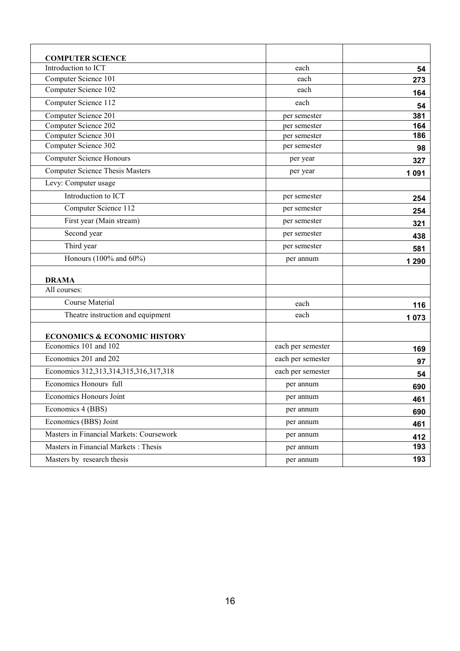| <b>COMPUTER SCIENCE</b>                  |                   |         |
|------------------------------------------|-------------------|---------|
| Introduction to ICT                      | each              | 54      |
| Computer Science 101                     | each              | 273     |
| Computer Science 102                     | each              | 164     |
| Computer Science 112                     | each              | 54      |
| Computer Science 201                     | per semester      | 381     |
| Computer Science 202                     | per semester      | 164     |
| Computer Science 301                     | per semester      | 186     |
| Computer Science 302                     | per semester      | 98      |
| <b>Computer Science Honours</b>          | per year          | 327     |
| <b>Computer Science Thesis Masters</b>   | per year          | 1 0 9 1 |
| Levy: Computer usage                     |                   |         |
| Introduction to ICT                      | per semester      | 254     |
| Computer Science 112                     | per semester      | 254     |
| First year (Main stream)                 | per semester      | 321     |
| Second year                              | per semester      | 438     |
| Third year                               | per semester      | 581     |
| Honours (100% and 60%)                   | per annum         | 1 2 9 0 |
| <b>DRAMA</b>                             |                   |         |
| All courses:                             |                   |         |
| Course Material                          | each              | 116     |
| Theatre instruction and equipment        | each              | 1073    |
| <b>ECONOMICS &amp; ECONOMIC HISTORY</b>  |                   |         |
| Economics 101 and 102                    | each per semester | 169     |
| Economics 201 and 202                    | each per semester | 97      |
| Economics 312,313,314,315,316,317,318    | each per semester | 54      |
| Economics Honours full                   | per annum         | 690     |
| Economics Honours Joint                  | per annum         | 461     |
| Economics 4 (BBS)                        | per annum         | 690     |
| Economics (BBS) Joint                    | per annum         | 461     |
| Masters in Financial Markets: Coursework | per annum         | 412     |
| Masters in Financial Markets : Thesis    | per annum         | 193     |
| Masters by research thesis               | per annum         | 193     |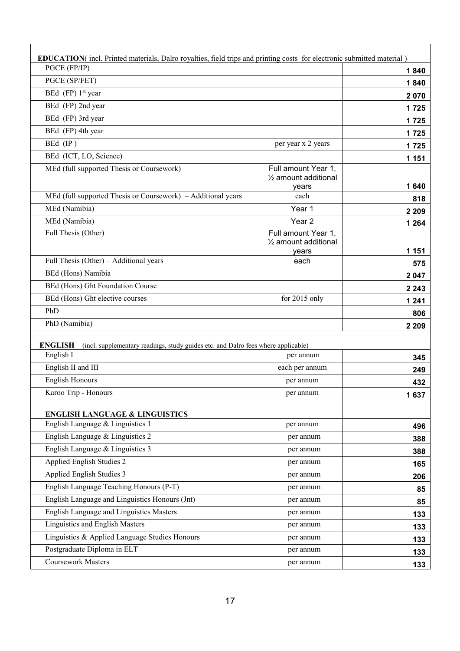| <b>EDUCATION</b> (incl. Printed materials, Dalro royalties, field trips and printing costs for electronic submitted material) |                                                                   |         |
|-------------------------------------------------------------------------------------------------------------------------------|-------------------------------------------------------------------|---------|
| PGCE (FP/IP)                                                                                                                  |                                                                   | 1840    |
| PGCE (SP/FET)                                                                                                                 |                                                                   | 1840    |
| BEd (FP) 1 <sup>st</sup> year                                                                                                 |                                                                   | 2070    |
| BEd (FP) 2nd year                                                                                                             |                                                                   | 1725    |
| BEd (FP) 3rd year                                                                                                             |                                                                   | 1725    |
| BEd (FP) 4th year                                                                                                             |                                                                   | 1725    |
| BEd (IP)                                                                                                                      | per year x 2 years                                                | 1725    |
| BEd (ICT, LO, Science)                                                                                                        |                                                                   | 1 151   |
| MEd (full supported Thesis or Coursework)                                                                                     | Full amount Year 1,<br>1/ <sub>2</sub> amount additional<br>years | 1640    |
| MEd (full supported Thesis or Coursework) – Additional years                                                                  | each                                                              | 818     |
| MEd (Namibia)                                                                                                                 | Year 1                                                            | 2 2 0 9 |
| MEd (Namibia)                                                                                                                 | Year <sub>2</sub>                                                 | 1 2 6 4 |
| Full Thesis (Other)                                                                                                           | Full amount Year 1,<br>1/ <sub>2</sub> amount additional<br>years | 1 1 5 1 |
| Full Thesis (Other) – Additional years                                                                                        | each                                                              | 575     |
| BEd (Hons) Namibia                                                                                                            |                                                                   | 2 0 4 7 |
| BEd (Hons) Ght Foundation Course                                                                                              |                                                                   | 2 2 4 3 |
| BEd (Hons) Ght elective courses                                                                                               | for 2015 only                                                     | 1 2 4 1 |
| PhD                                                                                                                           |                                                                   | 806     |
| PhD (Namibia)                                                                                                                 |                                                                   | 2 2 0 9 |
|                                                                                                                               |                                                                   |         |
| <b>ENGLISH</b><br>(incl. supplementary readings, study guides etc. and Dalro fees where applicable)                           |                                                                   |         |
| English I                                                                                                                     | per annum                                                         | 345     |
| English II and III                                                                                                            | each per annum                                                    | 249     |
| <b>English Honours</b>                                                                                                        | per annum                                                         | 432     |
| Karoo Trip - Honours                                                                                                          | per annum                                                         | 1637    |
| <b>ENGLISH LANGUAGE &amp; LINGUISTICS</b>                                                                                     |                                                                   |         |
| English Language & Linguistics 1                                                                                              | per annum                                                         | 496     |
| English Language & Linguistics 2                                                                                              | per annum                                                         | 388     |
| English Language & Linguistics 3                                                                                              | per annum                                                         | 388     |
| Applied English Studies 2                                                                                                     | per annum                                                         | 165     |
| Applied English Studies 3                                                                                                     | per annum                                                         | 206     |
| English Language Teaching Honours (P-T)                                                                                       | per annum                                                         | 85      |
| English Language and Linguistics Honours (Jnt)                                                                                | per annum                                                         | 85      |
| English Language and Linguistics Masters                                                                                      | per annum                                                         | 133     |
| Linguistics and English Masters                                                                                               | per annum                                                         | 133     |
| Linguistics & Applied Language Studies Honours                                                                                | per annum                                                         | 133     |
| Postgraduate Diploma in ELT                                                                                                   | per annum                                                         | 133     |
| Coursework Masters                                                                                                            | per annum                                                         | 133     |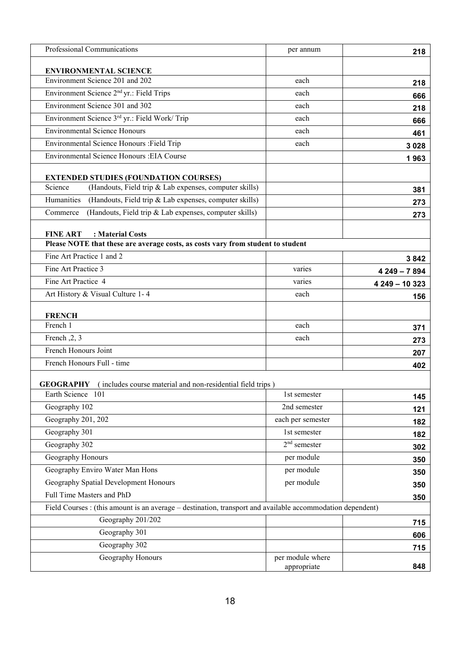| Professional Communications                                                                                | per annum         | 218            |
|------------------------------------------------------------------------------------------------------------|-------------------|----------------|
| <b>ENVIRONMENTAL SCIENCE</b>                                                                               |                   |                |
| Environment Science 201 and 202                                                                            | each              | 218            |
| Environment Science 2 <sup>nd</sup> yr.: Field Trips                                                       | each              | 666            |
| Environment Science 301 and 302                                                                            | each              | 218            |
| Environment Science 3rd yr.: Field Work/ Trip                                                              | each              | 666            |
| <b>Environmental Science Honours</b>                                                                       | each              | 461            |
| Environmental Science Honours : Field Trip                                                                 | each              | 3 0 28         |
| Environmental Science Honours : EIA Course                                                                 |                   | 1963           |
|                                                                                                            |                   |                |
| <b>EXTENDED STUDIES (FOUNDATION COURSES)</b>                                                               |                   |                |
| (Handouts, Field trip & Lab expenses, computer skills)<br>Science                                          |                   | 381            |
| Humanities<br>(Handouts, Field trip & Lab expenses, computer skills)                                       |                   | 273            |
| (Handouts, Field trip & Lab expenses, computer skills)<br>Commerce                                         |                   | 273            |
| <b>FINE ART</b><br>: Material Costs                                                                        |                   |                |
| Please NOTE that these are average costs, as costs vary from student to student                            |                   |                |
| Fine Art Practice 1 and 2                                                                                  |                   | 3842           |
| Fine Art Practice 3                                                                                        | varies            | $4249 - 7894$  |
| Fine Art Practice 4                                                                                        | varies            | 4 249 - 10 323 |
| Art History & Visual Culture 1-4                                                                           | each              | 156            |
|                                                                                                            |                   |                |
| <b>FRENCH</b>                                                                                              |                   |                |
| French 1                                                                                                   | each              | 371            |
| French, 2, 3                                                                                               | each              | 273            |
| French Honours Joint                                                                                       |                   | 207            |
| French Honours Full - time                                                                                 |                   | 402            |
| <b>GEOGRAPHY</b> (includes course material and non-residential field trips)                                |                   |                |
| Earth Science 101                                                                                          | 1st semester      | 145            |
| Geography 102                                                                                              | 2nd semester      | 121            |
| Geography 201, 202                                                                                         | each per semester | 182            |
| Geography 301                                                                                              | 1st semester      | 182            |
| Geography 302                                                                                              | $2nd$ semester    | 302            |
| Geography Honours                                                                                          | per module        |                |
| Geography Enviro Water Man Hons                                                                            | per module        | 350            |
| Geography Spatial Development Honours                                                                      | per module        | 350            |
| Full Time Masters and PhD                                                                                  |                   | 350            |
| Field Courses : (this amount is an average – destination, transport and available accommodation dependent) |                   | 350            |
| Geography 201/202                                                                                          |                   |                |
| Geography 301                                                                                              |                   | 715            |
| Geography 302                                                                                              |                   | 606            |
| Geography Honours                                                                                          | per module where  | 715            |
|                                                                                                            | appropriate       | 848            |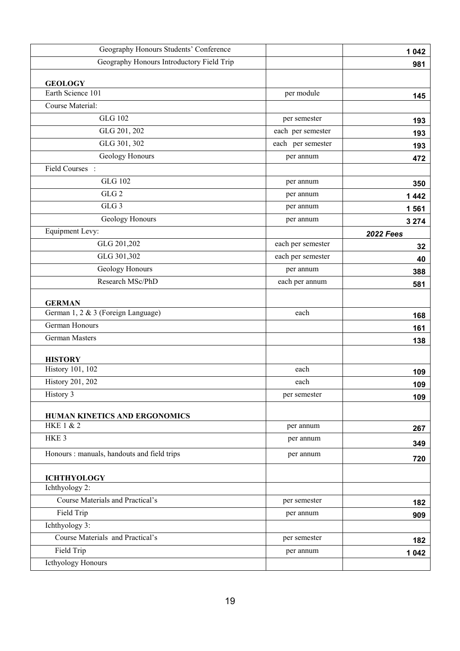| Geography Honours Students' Conference      |                   | 1 0 4 2          |
|---------------------------------------------|-------------------|------------------|
| Geography Honours Introductory Field Trip   |                   | 981              |
| <b>GEOLOGY</b>                              |                   |                  |
| Earth Science 101                           | per module        | 145              |
| Course Material:                            |                   |                  |
| <b>GLG 102</b>                              | per semester      | 193              |
| GLG 201, 202                                | each per semester | 193              |
| GLG 301, 302                                | each per semester | 193              |
| Geology Honours                             | per annum         | 472              |
| Field Courses :                             |                   |                  |
| <b>GLG 102</b>                              | per annum         | 350              |
| GLG <sub>2</sub>                            | per annum         | 1442             |
| GLG <sub>3</sub>                            | per annum         | 1561             |
| Geology Honours                             | per annum         | 3 2 7 4          |
| Equipment Levy:                             |                   | <b>2022 Fees</b> |
| GLG 201,202                                 | each per semester | 32               |
| GLG 301,302                                 | each per semester | 40               |
| Geology Honours                             | per annum         | 388              |
| Research MSc/PhD                            | each per annum    | 581              |
| <b>GERMAN</b>                               |                   |                  |
| German 1, 2 & 3 (Foreign Language)          | each              | 168              |
| German Honours                              |                   | 161              |
| German Masters                              |                   | 138              |
|                                             |                   |                  |
| <b>HISTORY</b>                              |                   |                  |
| <b>History 101, 102</b>                     | each              | 109              |
| <b>History 201, 202</b>                     | each              | 109              |
| History 3                                   | per semester      | 109              |
| HUMAN KINETICS AND ERGONOMICS               |                   |                  |
| <b>HKE 1 &amp; 2</b>                        | per annum         | 267              |
| HKE <sub>3</sub>                            | per annum         | 349              |
| Honours : manuals, handouts and field trips | per annum         | 720              |
|                                             |                   |                  |
| <b>ICHTHYOLOGY</b><br>Ichthyology 2:        |                   |                  |
| Course Materials and Practical's            | per semester      | 182              |
| Field Trip                                  | per annum         | 909              |
| Ichthyology 3:                              |                   |                  |
| Course Materials and Practical's            | per semester      | 182              |
| Field Trip                                  | per annum         | 1 0 4 2          |
| <b>Icthyology Honours</b>                   |                   |                  |
|                                             |                   |                  |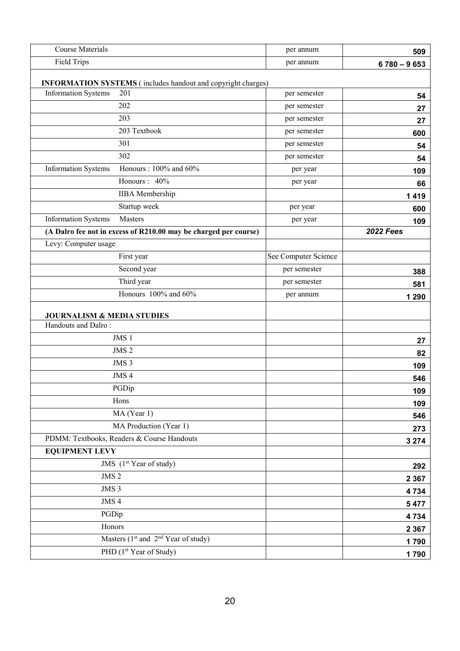| <b>Course Materials</b>                                                                                  | per annum            | 509              |
|----------------------------------------------------------------------------------------------------------|----------------------|------------------|
| <b>Field Trips</b>                                                                                       | per annum            | $6780 - 9653$    |
|                                                                                                          |                      |                  |
| <b>INFORMATION SYSTEMS</b> (includes handout and copyright charges)<br><b>Information Systems</b><br>201 | per semester         | 54               |
| 202                                                                                                      | per semester         | 27               |
| 203                                                                                                      | per semester         | 27               |
| 203 Textbook                                                                                             | per semester         | 600              |
| 301                                                                                                      | per semester         | 54               |
| 302                                                                                                      | per semester         | 54               |
| Honours: 100% and 60%<br><b>Information Systems</b>                                                      | per year             | 109              |
| Honours: 40%                                                                                             | per year             | 66               |
| <b>IIBA</b> Membership                                                                                   |                      | 1419             |
| Startup week                                                                                             | per year             | 600              |
| <b>Information Systems</b><br>Masters                                                                    | per year             | 109              |
| (A Dalro fee not in excess of R210.00 may be charged per course)                                         |                      | <b>2022 Fees</b> |
| Levy: Computer usage                                                                                     |                      |                  |
| First year                                                                                               | See Computer Science |                  |
| Second year                                                                                              | per semester         | 388              |
| Third year                                                                                               | per semester         | 581              |
| Honours 100% and 60%                                                                                     | per annum            | 1 2 9 0          |
|                                                                                                          |                      |                  |
| <b>JOURNALISM &amp; MEDIA STUDIES</b><br>Handouts and Dalro:                                             |                      |                  |
| JMS 1                                                                                                    |                      |                  |
| JMS <sub>2</sub>                                                                                         |                      | 27               |
| JMS <sub>3</sub>                                                                                         |                      | 82               |
| JMS <sub>4</sub>                                                                                         |                      | 109<br>546       |
| PGDip                                                                                                    |                      | 109              |
| Hons                                                                                                     |                      | 109              |
| MA (Year 1)                                                                                              |                      | 546              |
| MA Production (Year 1)                                                                                   |                      | 273              |
| PDMM: Textbooks, Readers & Course Handouts                                                               |                      | 3 2 7 4          |
| <b>EQUIPMENT LEVY</b>                                                                                    |                      |                  |
| JMS (1 <sup>st</sup> Year of study)                                                                      |                      | 292              |
| JMS <sub>2</sub>                                                                                         |                      | 2 3 6 7          |
| JMS 3                                                                                                    |                      | 4 7 3 4          |
| JMS 4                                                                                                    |                      | 5 4 7 7          |
| PGDip                                                                                                    |                      | 4734             |
| Honors                                                                                                   |                      | 2 3 6 7          |
| Masters $(1st$ and $2nd$ Year of study)                                                                  |                      | 1790             |
| PHD (1st Year of Study)                                                                                  |                      | 1790             |
|                                                                                                          |                      |                  |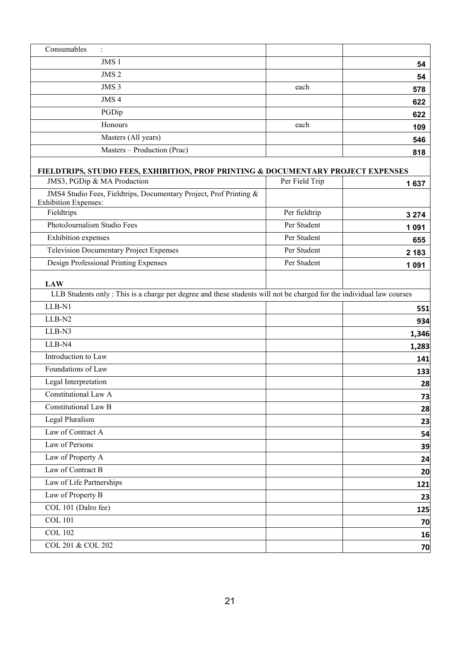| Consumables<br>$\ddot{\cdot}$                                                                                                      |                |         |
|------------------------------------------------------------------------------------------------------------------------------------|----------------|---------|
| JMS 1                                                                                                                              |                | 54      |
| JMS <sub>2</sub>                                                                                                                   |                | 54      |
| JMS <sub>3</sub>                                                                                                                   | each           | 578     |
| JMS <sub>4</sub>                                                                                                                   |                | 622     |
| PGDip                                                                                                                              |                | 622     |
| Honours                                                                                                                            | each           | 109     |
| Masters (All years)                                                                                                                |                | 546     |
| Masters - Production (Prac)                                                                                                        |                | 818     |
| <b>FIELDTRIPS, STUDIO FEES, EXHIBITION, PROF PRINTING &amp; DOCUMENTARY PROJECT EXPENSES</b>                                       |                |         |
| JMS3, PGDip & MA Production                                                                                                        | Per Field Trip | 1637    |
| JMS4 Studio Fees, Fieldtrips, Documentary Project, Prof Printing &<br><b>Exhibition Expenses:</b>                                  |                |         |
| Fieldtrips                                                                                                                         | Per fieldtrip  | 3 2 7 4 |
| PhotoJournalism Studio Fees                                                                                                        | Per Student    | 1 0 9 1 |
| Exhibition expenses                                                                                                                | Per Student    | 655     |
| <b>Television Documentary Project Expenses</b>                                                                                     | Per Student    | 2 1 8 3 |
| Design Professional Printing Expenses                                                                                              | Per Student    | 1 0 9 1 |
| <b>LAW</b><br>LLB Students only: This is a charge per degree and these students will not be charged for the individual law courses |                |         |
| LLB-N1                                                                                                                             |                | 551     |
| LLB-N2                                                                                                                             |                | 934     |
| LLB-N3                                                                                                                             |                | 1,346   |
| LLB-N4                                                                                                                             |                | 1,283   |
| Introduction to Law                                                                                                                |                | 141     |
| Foundations of Law                                                                                                                 |                | 133     |
| Legal Interpretation                                                                                                               |                | 28      |
| Constitutional Law A                                                                                                               |                | 73      |
| <b>Constitutional Law B</b>                                                                                                        |                | 28      |
| Legal Pluralism                                                                                                                    |                | 23      |
| Law of Contract A<br>Law of Persons                                                                                                |                | 54      |
|                                                                                                                                    |                | 39      |
| Law of Property A<br>Law of Contract B                                                                                             |                | 24      |
|                                                                                                                                    |                | 20      |
| Law of Life Partnerships                                                                                                           |                | 121     |
| Law of Property B                                                                                                                  |                | 23      |
| COL 101 (Dalro fee)<br><b>COL 101</b>                                                                                              |                | 125     |
|                                                                                                                                    |                | 70      |
| <b>COL 102</b>                                                                                                                     |                | 16      |
| COL 201 & COL 202                                                                                                                  |                | 70      |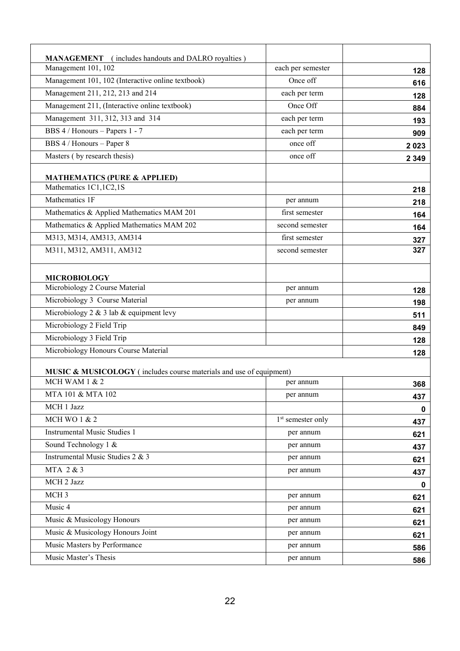| <b>MANAGEMENT</b><br>(includes handouts and DALRO royalties)        |                               |         |
|---------------------------------------------------------------------|-------------------------------|---------|
| Management 101, 102                                                 | each per semester             | 128     |
| Management 101, 102 (Interactive online textbook)                   | Once off                      | 616     |
| Management 211, 212, 213 and 214                                    | each per term                 | 128     |
| Management 211, (Interactive online textbook)                       | Once Off                      | 884     |
| Management 311, 312, 313 and 314                                    | each per term                 | 193     |
| BBS 4 / Honours - Papers 1 - 7                                      | each per term                 | 909     |
| BBS 4 / Honours - Paper 8                                           | once off                      | 2023    |
| Masters (by research thesis)                                        | once off                      | 2 3 4 9 |
|                                                                     |                               |         |
| <b>MATHEMATICS (PURE &amp; APPLIED)</b>                             |                               |         |
| Mathematics 1C1,1C2,1S                                              |                               | 218     |
| Mathematics 1F                                                      | per annum                     | 218     |
| Mathematics & Applied Mathematics MAM 201                           | first semester                | 164     |
| Mathematics & Applied Mathematics MAM 202                           | second semester               | 164     |
| M313, M314, AM313, AM314                                            | first semester                | 327     |
| M311, M312, AM311, AM312                                            | second semester               | 327     |
| <b>MICROBIOLOGY</b>                                                 |                               |         |
| Microbiology 2 Course Material                                      | per annum                     | 128     |
| Microbiology 3 Course Material                                      | per annum                     | 198     |
| Microbiology 2 & 3 lab & equipment levy                             |                               | 511     |
| Microbiology 2 Field Trip                                           |                               | 849     |
| Microbiology 3 Field Trip                                           |                               | 128     |
| Microbiology Honours Course Material                                |                               | 128     |
| MUSIC & MUSICOLOGY (includes course materials and use of equipment) |                               |         |
| MCH WAM 1 & 2                                                       | per annum                     | 368     |
| MTA 101 & MTA 102                                                   | per annum                     | 437     |
| MCH 1 Jazz                                                          |                               | 0       |
| <b>MCH WO 1 &amp; 2</b>                                             | 1 <sup>st</sup> semester only | 437     |
| <b>Instrumental Music Studies 1</b>                                 | per annum                     | 621     |
| Sound Technology 1 &                                                | per annum                     | 437     |
| Instrumental Music Studies 2 & 3                                    | per annum                     | 621     |
| MTA 2 & 3                                                           | per annum                     |         |
| MCH 2 Jazz                                                          |                               | 437     |
| MCH <sub>3</sub>                                                    | per annum                     | 0       |
| Music 4                                                             | per annum                     | 621     |
| Music & Musicology Honours                                          |                               | 621     |
| Music & Musicology Honours Joint                                    | per annum                     | 621     |
| Music Masters by Performance                                        | per annum                     | 621     |
|                                                                     | per annum                     | 586     |
| Music Master's Thesis                                               | per annum                     | 586     |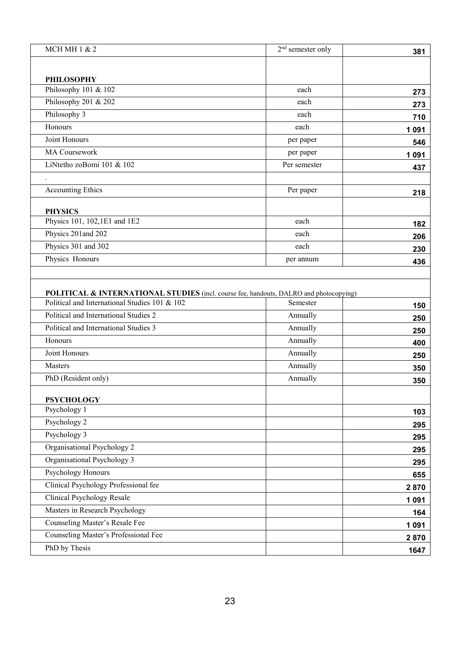| <b>MCH MH 1 &amp; 2</b>                                          | $2nd$ semester only | 381                                                           |
|------------------------------------------------------------------|---------------------|---------------------------------------------------------------|
|                                                                  |                     |                                                               |
| <b>PHILOSOPHY</b>                                                |                     |                                                               |
| Philosophy 101 & 102                                             | each                | 273                                                           |
| Philosophy 201 & 202                                             | each                | 273                                                           |
| Philosophy 3                                                     | each                | 710                                                           |
| Honours                                                          | each                | 1 0 9 1                                                       |
| Joint Honours                                                    | per paper           | 546                                                           |
| MA Coursework                                                    | per paper           | 1 0 9 1                                                       |
| LiNtetho zoBomi 101 & 102                                        | Per semester        | 437                                                           |
|                                                                  |                     |                                                               |
| <b>Accounting Ethics</b>                                         | Per paper           | 218                                                           |
|                                                                  |                     |                                                               |
| <b>PHYSICS</b><br>Physics 101, 102,1E1 and 1E2                   | each                |                                                               |
| Physics 201 and 202                                              | each                | 182                                                           |
| Physics 301 and 302                                              | each                | 206                                                           |
| Physics Honours                                                  | per annum           | 230                                                           |
|                                                                  |                     | 436                                                           |
|                                                                  | Annually            | 250                                                           |
| Political and International Studies 2                            |                     | 150                                                           |
| Political and International Studies 3                            | Annually            | 250                                                           |
| Honours                                                          | Annually            | 400                                                           |
| Joint Honours                                                    | Annually            | 250                                                           |
| Masters                                                          | Annually            | 350                                                           |
| PhD (Resident only)                                              | Annually            | 350                                                           |
| <b>PSYCHOLOGY</b>                                                |                     |                                                               |
| Psychology 1                                                     |                     | 103                                                           |
| Psychology 2                                                     |                     | 295                                                           |
| Psychology 3                                                     |                     |                                                               |
| Organisational Psychology 2                                      |                     |                                                               |
| Organisational Psychology 3                                      |                     |                                                               |
| Psychology Honours                                               |                     |                                                               |
| Clinical Psychology Professional fee                             |                     |                                                               |
| Clinical Psychology Resale                                       |                     |                                                               |
|                                                                  |                     |                                                               |
|                                                                  |                     |                                                               |
| Masters in Research Psychology<br>Counseling Master's Resale Fee |                     |                                                               |
| Counseling Master's Professional Fee                             |                     | 295<br>295<br>295<br>655<br>2870<br>1 0 9 1<br>164<br>1 0 9 1 |
| PhD by Thesis                                                    |                     | 2870<br>1647                                                  |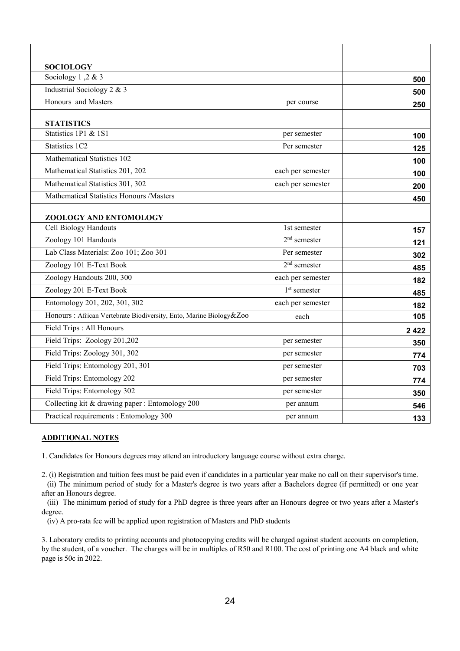| <b>SOCIOLOGY</b>                                                    |                   |      |
|---------------------------------------------------------------------|-------------------|------|
| Sociology 1,2 & 3                                                   |                   | 500  |
| Industrial Sociology 2 & 3                                          |                   | 500  |
| Honours and Masters                                                 | per course        | 250  |
| <b>STATISTICS</b>                                                   |                   |      |
| Statistics 1P1 & 1S1                                                | per semester      | 100  |
| Statistics 1C2                                                      | Per semester      | 125  |
| Mathematical Statistics 102                                         |                   | 100  |
| Mathematical Statistics 201, 202                                    | each per semester | 100  |
| Mathematical Statistics 301, 302                                    | each per semester | 200  |
| Mathematical Statistics Honours /Masters                            |                   | 450  |
| ZOOLOGY AND ENTOMOLOGY                                              |                   |      |
| Cell Biology Handouts                                               | 1st semester      | 157  |
| Zoology 101 Handouts                                                | $2nd$ semester    | 121  |
| Lab Class Materials: Zoo 101; Zoo 301                               | Per semester      | 302  |
| Zoology 101 E-Text Book                                             | $2nd$ semester    | 485  |
| Zoology Handouts 200, 300                                           | each per semester | 182  |
| Zoology 201 E-Text Book                                             | $1st$ semester    | 485  |
| Entomology 201, 202, 301, 302                                       | each per semester | 182  |
| Honours : African Vertebrate Biodiversity, Ento, Marine Biology&Zoo | each              | 105  |
| Field Trips : All Honours                                           |                   | 2422 |
| Field Trips: Zoology 201,202                                        | per semester      | 350  |
| Field Trips: Zoology 301, 302                                       | per semester      | 774  |
| Field Trips: Entomology 201, 301                                    | per semester      | 703  |
| Field Trips: Entomology 202                                         | per semester      | 774  |
| Field Trips: Entomology 302                                         | per semester      | 350  |
| Collecting kit & drawing paper : Entomology 200                     | per annum         | 546  |
| Practical requirements : Entomology 300                             | per annum         | 133  |

#### **ADDITIONAL NOTES**

1. Candidates for Honours degrees may attend an introductory language course without extra charge.

2. (i) Registration and tuition fees must be paid even if candidates in a particular year make no call on their supervisor's time.

 (ii) The minimum period of study for a Master's degree is two years after a Bachelors degree (if permitted) or one year after an Honours degree.

 (iii) The minimum period of study for a PhD degree is three years after an Honours degree or two years after a Master's degree.

(iv) A pro-rata fee will be applied upon registration of Masters and PhD students

3. Laboratory credits to printing accounts and photocopying credits will be charged against student accounts on completion, by the student, of a voucher. The charges will be in multiples of R50 and R100. The cost of printing one A4 black and white page is 50c in 2022.